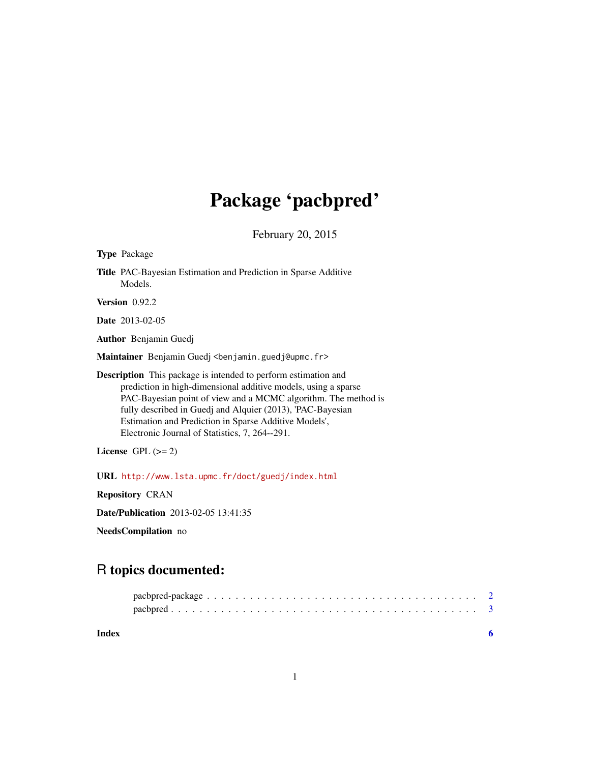# Package 'pacbpred'

February 20, 2015

|                      | <b>Type Package</b>                                                                                                                                                                                                                                                                                                                                                                |  |
|----------------------|------------------------------------------------------------------------------------------------------------------------------------------------------------------------------------------------------------------------------------------------------------------------------------------------------------------------------------------------------------------------------------|--|
|                      | Title PAC-Bayesian Estimation and Prediction in Sparse Additive<br>Models.                                                                                                                                                                                                                                                                                                         |  |
|                      | Version 0.92.2                                                                                                                                                                                                                                                                                                                                                                     |  |
|                      | <b>Date</b> 2013-02-05                                                                                                                                                                                                                                                                                                                                                             |  |
|                      | Author Benjamin Guedj                                                                                                                                                                                                                                                                                                                                                              |  |
|                      | Maintainer Benjamin Guedj <benjamin.guedj@upmc.fr></benjamin.guedj@upmc.fr>                                                                                                                                                                                                                                                                                                        |  |
|                      | <b>Description</b> This package is intended to perform estimation and<br>prediction in high-dimensional additive models, using a sparse<br>PAC-Bayesian point of view and a MCMC algorithm. The method is<br>fully described in Guedj and Alquier (2013), 'PAC-Bayesian<br>Estimation and Prediction in Sparse Additive Models',<br>Electronic Journal of Statistics, 7, 264--291. |  |
| License GPL $(>= 2)$ |                                                                                                                                                                                                                                                                                                                                                                                    |  |
|                      | URL http://www.lsta.upmc.fr/doct/guedj/index.html                                                                                                                                                                                                                                                                                                                                  |  |
|                      | <b>Repository CRAN</b>                                                                                                                                                                                                                                                                                                                                                             |  |
|                      | <b>Date/Publication</b> 2013-02-05 13:41:35                                                                                                                                                                                                                                                                                                                                        |  |
| NeedsCompilation no  |                                                                                                                                                                                                                                                                                                                                                                                    |  |
|                      |                                                                                                                                                                                                                                                                                                                                                                                    |  |

# R topics documented:

| Index |  |
|-------|--|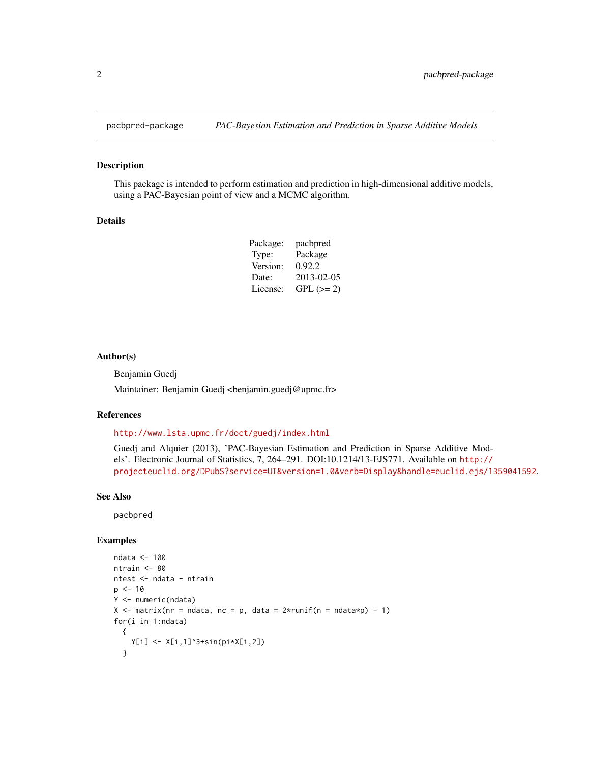<span id="page-1-0"></span>

#### Description

This package is intended to perform estimation and prediction in high-dimensional additive models, using a PAC-Bayesian point of view and a MCMC algorithm.

#### Details

| Package: | pacbpred    |
|----------|-------------|
| Type:    | Package     |
| Version: | 0.92.2      |
| Date:    | 2013-02-05  |
| License: | $GPL (= 2)$ |

#### Author(s)

Benjamin Guedj

Maintainer: Benjamin Guedj <br/>benjamin.guedj@upmc.fr>

#### References

<http://www.lsta.upmc.fr/doct/guedj/index.html>

Guedj and Alquier (2013), 'PAC-Bayesian Estimation and Prediction in Sparse Additive Models'. Electronic Journal of Statistics, 7, 264–291. DOI:10.1214/13-EJS771. Available on [http://](http://projecteuclid.org/DPubS?service=UI&version=1.0&verb=Display&handle=euclid.ejs/1359041592) [projecteuclid.org/DPubS?service=UI&version=1.0&verb=Display&handle=euclid.ejs/1359041592](http://projecteuclid.org/DPubS?service=UI&version=1.0&verb=Display&handle=euclid.ejs/1359041592).

# See Also

pacbpred

#### Examples

```
ndata <- 100
ntrain <- 80
ntest <- ndata - ntrain
p \le -10Y <- numeric(ndata)
X \le - matrix(nr = ndata, nc = p, data = 2*runif(n = ndata*p) - 1)
for(i in 1:ndata)
  {
    Y[i] <- X[i, 1]<sup>2</sup>+sin(pi*X[i,2])
  }
```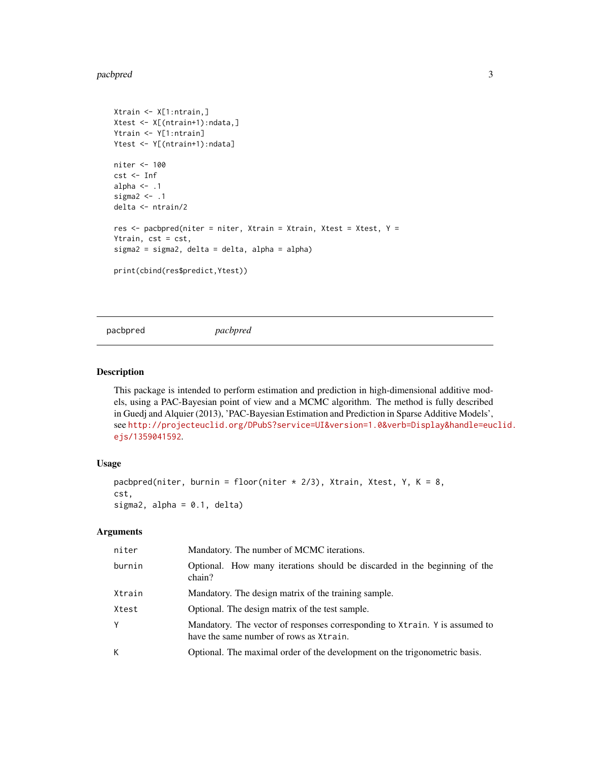#### <span id="page-2-0"></span>pacbpred 33

```
Xtrain <- X[1:ntrain,]
Xtest <- X[(ntrain+1):ndata,]
Ytrain <- Y[1:ntrain]
Ytest <- Y[(ntrain+1):ndata]
niter <- 100
cst <- Inf
alpha \leq -1sigma2 < - .1delta <- ntrain/2
res \leq pacbpred(niter = niter, Xtrain = Xtrain, Xtest = Xtest, Y =
Ytrain, cst = cst,
sigma2 = sigma2, delta = delta, alpha = alpha)
print(cbind(res$predict,Ytest))
```
pacbpred *pacbpred*

# Description

This package is intended to perform estimation and prediction in high-dimensional additive models, using a PAC-Bayesian point of view and a MCMC algorithm. The method is fully described in Guedj and Alquier (2013), 'PAC-Bayesian Estimation and Prediction in Sparse Additive Models', see [http://projecteuclid.org/DPubS?service=UI&version=1.0&verb=Display&handle=euc](http://projecteuclid.org/DPubS?service=UI&version=1.0&verb=Display&handle=euclid.ejs/1359041592)lid. [ejs/1359041592](http://projecteuclid.org/DPubS?service=UI&version=1.0&verb=Display&handle=euclid.ejs/1359041592).

### Usage

```
pacbpred(niter, burnin = floor(niter * 2/3), Xtrain, Xtest, Y, K = 8,
cst,
sigma2, alpha = 0.1, delta)
```
#### Arguments

| niter  | Mandatory. The number of MCMC iterations.                                                                              |
|--------|------------------------------------------------------------------------------------------------------------------------|
| burnin | Optional. How many iterations should be discarded in the beginning of the<br>chain?                                    |
| Xtrain | Mandatory. The design matrix of the training sample.                                                                   |
| Xtest  | Optional. The design matrix of the test sample.                                                                        |
| Υ      | Mandatory. The vector of responses corresponding to Xtrain. Y is assumed to<br>have the same number of rows as Xtrain. |
| К      | Optional. The maximal order of the development on the trigonometric basis.                                             |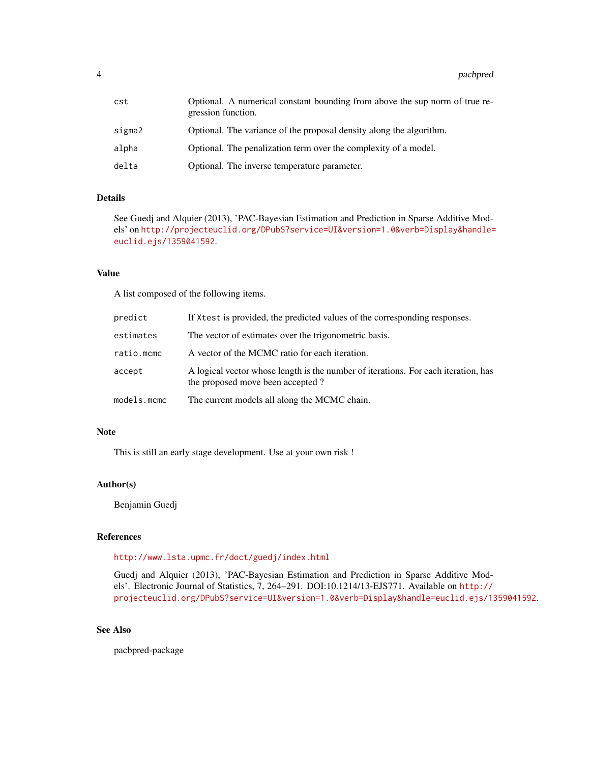4 pacbpred

| cst    | Optional. A numerical constant bounding from above the sup norm of true re-<br>gression function. |
|--------|---------------------------------------------------------------------------------------------------|
| sigma2 | Optional. The variance of the proposal density along the algorithm.                               |
| alpha  | Optional. The penalization term over the complexity of a model.                                   |
| delta  | Optional. The inverse temperature parameter.                                                      |

# Details

See Guedj and Alquier (2013), 'PAC-Bayesian Estimation and Prediction in Sparse Additive Models' on [http://projecteuclid.org/DPubS?service=UI&version=1.0&verb=Display&handle=](http://projecteuclid.org/DPubS?service=UI&version=1.0&verb=Display&handle=euclid.ejs/1359041592) [euclid.ejs/1359041592](http://projecteuclid.org/DPubS?service=UI&version=1.0&verb=Display&handle=euclid.ejs/1359041592).

# Value

A list composed of the following items.

| predict     | If Xtest is provided, the predicted values of the corresponding responses.                                             |
|-------------|------------------------------------------------------------------------------------------------------------------------|
| estimates   | The vector of estimates over the trigonometric basis.                                                                  |
| ratio.mcmc  | A vector of the MCMC ratio for each iteration.                                                                         |
| accept      | A logical vector whose length is the number of iterations. For each iteration, has<br>the proposed move been accepted? |
| models.mcmc | The current models all along the MCMC chain.                                                                           |

#### Note

This is still an early stage development. Use at your own risk !

#### Author(s)

Benjamin Guedj

# References

<http://www.lsta.upmc.fr/doct/guedj/index.html>

Guedj and Alquier (2013), 'PAC-Bayesian Estimation and Prediction in Sparse Additive Models'. Electronic Journal of Statistics, 7, 264–291. DOI:10.1214/13-EJS771. Available on [http://](http://projecteuclid.org/DPubS?service=UI&version=1.0&verb=Display&handle=euclid.ejs/1359041592) [projecteuclid.org/DPubS?service=UI&version=1.0&verb=Display&handle=euclid.ejs/1359041592](http://projecteuclid.org/DPubS?service=UI&version=1.0&verb=Display&handle=euclid.ejs/1359041592).

# See Also

pacbpred-package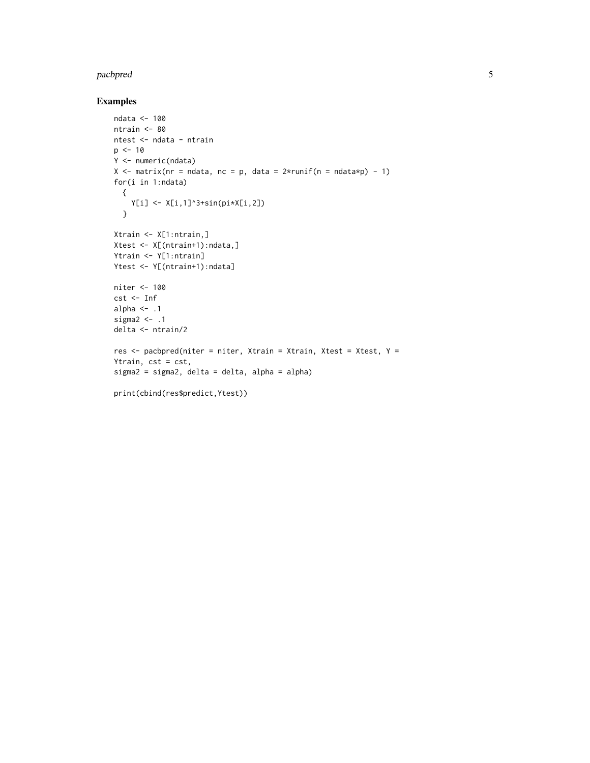#### pacbpred 55 to 55 and 55 and 55 and 55 and 55 and 55 and 55 and 55 and 55 and 55 and 55 and 55 and 55 and 55 and 55 and 55 and 55 and 55 and 55 and 55 and 55 and 55 and 55 and 55 and 55 and 55 and 55 and 55 and 55 and 55 a

# Examples

```
ndata <- 100
ntrain <- 80
ntest <- ndata - ntrain
p \le -10Y <- numeric(ndata)
X \le - matrix(nr = ndata, nc = p, data = 2*runif(n = ndata*p) - 1)
for(i in 1:ndata)
 {
    Y[i] <- X[i, 1]<sup>2</sup>+sin(pi*X[i,2])
  }
Xtrain <- X[1:ntrain,]
Xtest <- X[(ntrain+1):ndata,]
Ytrain <- Y[1:ntrain]
Ytest <- Y[(ntrain+1):ndata]
niter <- 100
cst <- Inf
alpha \leq -1sigma2 <- .1
delta <- ntrain/2
res \leq pacbpred(niter = niter, Xtrain = Xtrain, Xtest = Xtest, Y =
Ytrain, cst = cst,
sigma2 = sigma2, delta = delta, alpha = alpha)
print(cbind(res$predict,Ytest))
```